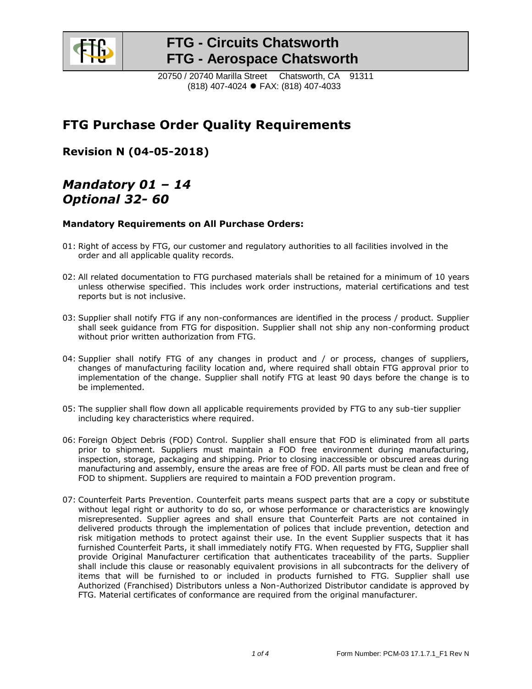

20750 / 20740 Marilla Street Chatsworth, CA 91311 (818) 407-4024 FAX: (818) 407-4033

### **FTG Purchase Order Quality Requirements**

**Revision N (04-05-2018)**

### *Mandatory 01 – 14 Optional 32- 60*

### **Mandatory Requirements on All Purchase Orders:**

- 01: Right of access by FTG, our customer and regulatory authorities to all facilities involved in the order and all applicable quality records.
- 02: All related documentation to FTG purchased materials shall be retained for a minimum of 10 years unless otherwise specified. This includes work order instructions, material certifications and test reports but is not inclusive.
- 03: Supplier shall notify FTG if any non-conformances are identified in the process / product. Supplier shall seek guidance from FTG for disposition. Supplier shall not ship any non-conforming product without prior written authorization from FTG.
- 04: Supplier shall notify FTG of any changes in product and / or process, changes of suppliers, changes of manufacturing facility location and, where required shall obtain FTG approval prior to implementation of the change. Supplier shall notify FTG at least 90 days before the change is to be implemented.
- 05: The supplier shall flow down all applicable requirements provided by FTG to any sub-tier supplier including key characteristics where required.
- 06: Foreign Object Debris (FOD) Control. Supplier shall ensure that FOD is eliminated from all parts prior to shipment. Suppliers must maintain a FOD free environment during manufacturing, inspection, storage, packaging and shipping. Prior to closing inaccessible or obscured areas during manufacturing and assembly, ensure the areas are free of FOD. All parts must be clean and free of FOD to shipment. Suppliers are required to maintain a FOD prevention program.
- 07: Counterfeit Parts Prevention. Counterfeit parts means suspect parts that are a copy or substitute without legal right or authority to do so, or whose performance or characteristics are knowingly misrepresented. Supplier agrees and shall ensure that Counterfeit Parts are not contained in delivered products through the implementation of polices that include prevention, detection and risk mitigation methods to protect against their use. In the event Supplier suspects that it has furnished Counterfeit Parts, it shall immediately notify FTG. When requested by FTG, Supplier shall provide Original Manufacturer certification that authenticates traceability of the parts. Supplier shall include this clause or reasonably equivalent provisions in all subcontracts for the delivery of items that will be furnished to or included in products furnished to FTG. Supplier shall use Authorized (Franchised) Distributors unless a Non-Authorized Distributor candidate is approved by FTG. Material certificates of conformance are required from the original manufacturer.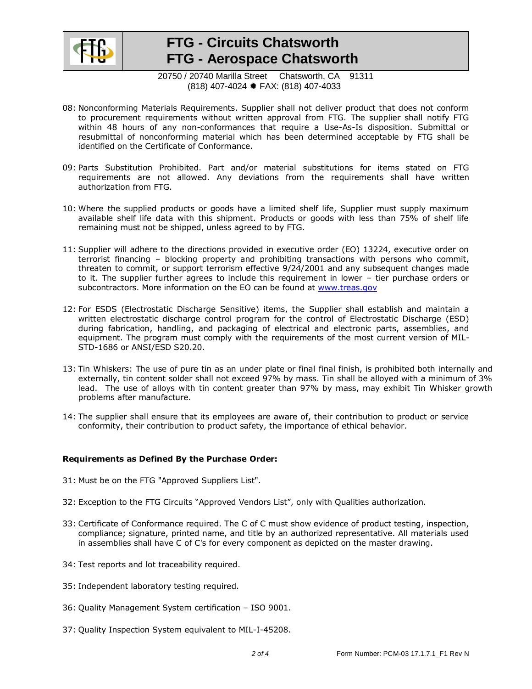

20750 / 20740 Marilla Street Chatsworth, CA 91311 (818) 407-4024 FAX: (818) 407-4033

- 08: Nonconforming Materials Requirements. Supplier shall not deliver product that does not conform to procurement requirements without written approval from FTG. The supplier shall notify FTG within 48 hours of any non-conformances that require a Use-As-Is disposition. Submittal or resubmittal of nonconforming material which has been determined acceptable by FTG shall be identified on the Certificate of Conformance.
- 09: Parts Substitution Prohibited. Part and/or material substitutions for items stated on FTG requirements are not allowed. Any deviations from the requirements shall have written authorization from FTG.
- 10: Where the supplied products or goods have a limited shelf life, Supplier must supply maximum available shelf life data with this shipment. Products or goods with less than 75% of shelf life remaining must not be shipped, unless agreed to by FTG.
- 11: Supplier will adhere to the directions provided in executive order (EO) 13224, executive order on terrorist financing – blocking property and prohibiting transactions with persons who commit, threaten to commit, or support terrorism effective 9/24/2001 and any subsequent changes made to it. The supplier further agrees to include this requirement in lower – tier purchase orders or subcontractors. More information on the EO can be found at [www.treas.gov](http://www.treas.gov/)
- 12: For ESDS (Electrostatic Discharge Sensitive) items, the Supplier shall establish and maintain a written electrostatic discharge control program for the control of Electrostatic Discharge (ESD) during fabrication, handling, and packaging of electrical and electronic parts, assemblies, and equipment. The program must comply with the requirements of the most current version of MIL-STD-1686 or ANSI/ESD S20.20.
- 13: Tin Whiskers: The use of pure tin as an under plate or final final finish, is prohibited both internally and externally, tin content solder shall not exceed 97% by mass. Tin shall be alloyed with a minimum of 3% lead. The use of alloys with tin content greater than 97% by mass, may exhibit Tin Whisker growth problems after manufacture.
- 14: The supplier shall ensure that its employees are aware of, their contribution to product or service conformity, their contribution to product safety, the importance of ethical behavior.

#### **Requirements as Defined By the Purchase Order:**

- 31: Must be on the FTG "Approved Suppliers List".
- 32: Exception to the FTG Circuits "Approved Vendors List", only with Qualities authorization.
- 33: Certificate of Conformance required. The C of C must show evidence of product testing, inspection, compliance; signature, printed name, and title by an authorized representative. All materials used in assemblies shall have C of C's for every component as depicted on the master drawing.
- 34: Test reports and lot traceability required.
- 35: Independent laboratory testing required.
- 36: Quality Management System certification ISO 9001.
- 37: Quality Inspection System equivalent to MIL-I-45208.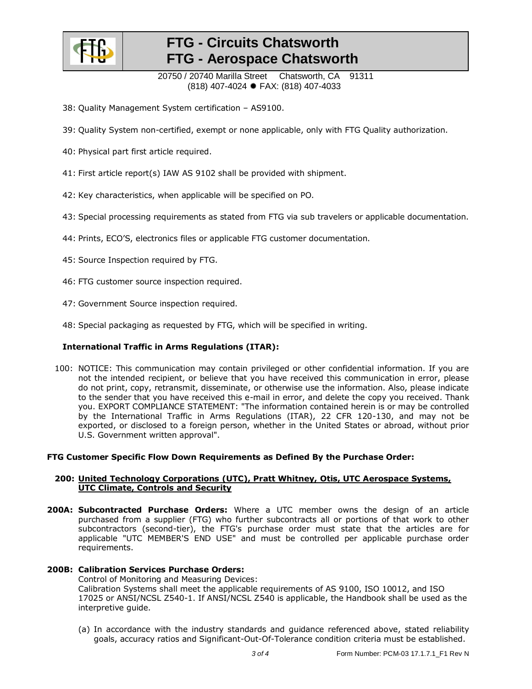

20750 / 20740 Marilla Street Chatsworth, CA 91311 (818) 407-4024 FAX: (818) 407-4033

- 38: Quality Management System certification AS9100.
- 39: Quality System non-certified, exempt or none applicable, only with FTG Quality authorization.
- 40: Physical part first article required.
- 41: First article report(s) IAW AS 9102 shall be provided with shipment.
- 42: Key characteristics, when applicable will be specified on PO.
- 43: Special processing requirements as stated from FTG via sub travelers or applicable documentation.
- 44: Prints, ECO'S, electronics files or applicable FTG customer documentation.
- 45: Source Inspection required by FTG.
- 46: FTG customer source inspection required.
- 47: Government Source inspection required.
- 48: Special packaging as requested by FTG, which will be specified in writing.

#### **International Traffic in Arms Regulations (ITAR):**

100: NOTICE: This communication may contain privileged or other confidential information. If you are not the intended recipient, or believe that you have received this communication in error, please do not print, copy, retransmit, disseminate, or otherwise use the information. Also, please indicate to the sender that you have received this e-mail in error, and delete the copy you received. Thank you. EXPORT COMPLIANCE STATEMENT: "The information contained herein is or may be controlled by the International Traffic in Arms Regulations (ITAR), 22 CFR 120-130, and may not be exported, or disclosed to a foreign person, whether in the United States or abroad, without prior U.S. Government written approval".

#### **FTG Customer Specific Flow Down Requirements as Defined By the Purchase Order:**

#### **200: United Technology Corporations (UTC), Pratt Whitney, Otis, UTC Aerospace Systems, UTC Climate, Controls and Security**

**200A: Subcontracted Purchase Orders:** Where a UTC member owns the design of an article purchased from a supplier (FTG) who further subcontracts all or portions of that work to other subcontractors (second-tier), the FTG's purchase order must state that the articles are for applicable "UTC MEMBER'S END USE" and must be controlled per applicable purchase order requirements.

#### **200B: Calibration Services Purchase Orders:**

Control of Monitoring and Measuring Devices: Calibration Systems shall meet the applicable requirements of AS 9100, ISO 10012, and ISO 17025 or ANSI/NCSL Z540-1. If ANSI/NCSL Z540 is applicable, the Handbook shall be used as the interpretive guide.

(a) In accordance with the industry standards and guidance referenced above, stated reliability goals, accuracy ratios and Significant-Out-Of-Tolerance condition criteria must be established.